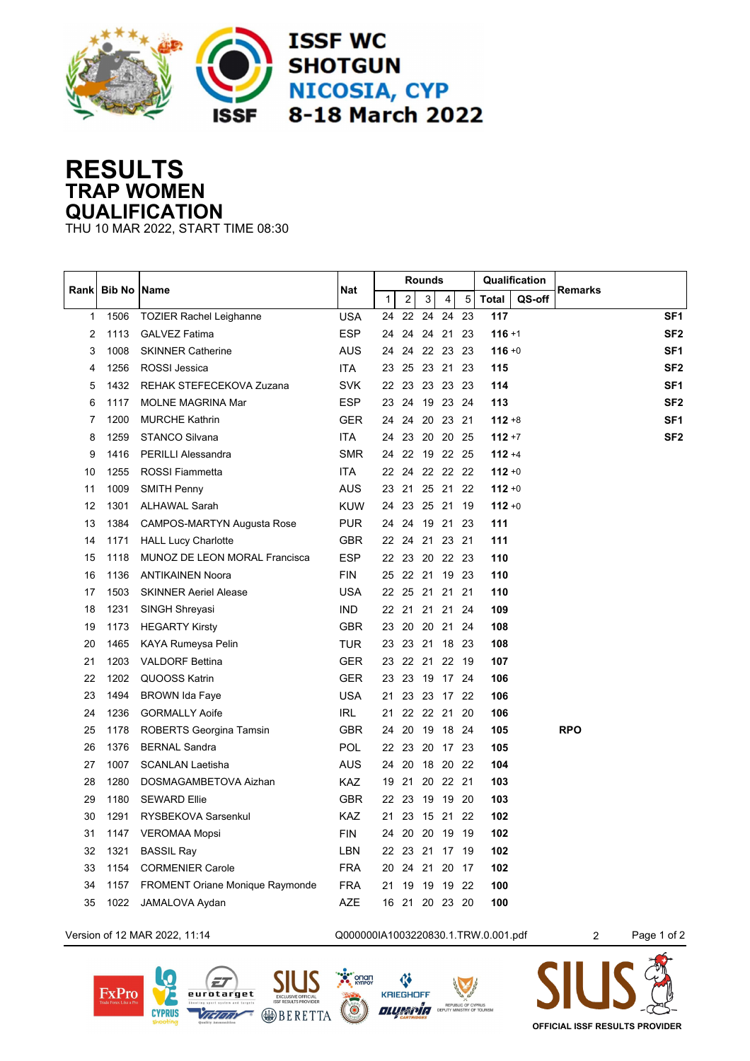

## **RESULTS TRAP WOMEN QUALIFICATION**

THU 10 MAR 2022, START TIME 08:30

| Rank | <b>Bib No   Name</b> |                                        | Nat        |              | <b>Rounds</b>  |          |                |      |              | Qualification |                 |
|------|----------------------|----------------------------------------|------------|--------------|----------------|----------|----------------|------|--------------|---------------|-----------------|
|      |                      |                                        |            | $\mathbf{1}$ | $\overline{2}$ | 3        | $\overline{4}$ | 5    | <b>Total</b> | QS-off        | <b>Remarks</b>  |
| 1    | 1506                 | <b>TOZIER Rachel Leighanne</b>         | <b>USA</b> | 24           | 22             | 24       | 24             | 23   | 117          |               | SF <sub>1</sub> |
| 2    | 1113                 | <b>GALVEZ Fatima</b>                   | <b>ESP</b> | 24           | 24             |          | 24 21          | 23   | $116 + 1$    |               | SF <sub>2</sub> |
| 3    | 1008                 | <b>SKINNER Catherine</b>               | <b>AUS</b> | 24           | 24             |          | 22 23 23       |      | $116 + 0$    |               | SF <sub>1</sub> |
| 4    | 1256                 | <b>ROSSI</b> Jessica                   | <b>ITA</b> |              | 23 25 23 21 23 |          |                |      | 115          |               | SF <sub>2</sub> |
| 5    | 1432                 | REHAK STEFECEKOVA Zuzana               | <b>SVK</b> |              | 22 23 23 23 23 |          |                |      | 114          |               | SF <sub>1</sub> |
| 6    | 1117                 | <b>MOLNE MAGRINA Mar</b>               | <b>ESP</b> | 23           | 24             |          | 19 23 24       |      | 113          |               | SF <sub>2</sub> |
| 7    | 1200                 | <b>MURCHE Kathrin</b>                  | GER        | 24           | 24             |          | 20 23 21       |      | $112 + 8$    |               | SF <sub>1</sub> |
| 8    | 1259                 | <b>STANCO Silvana</b>                  | ITA.       | 24           | 23             |          | 20 20 25       |      | $112 + 7$    |               | SF <sub>2</sub> |
| 9    | 1416                 | <b>PERILLI Alessandra</b>              | <b>SMR</b> | 24           | 22             |          | 19 22 25       |      | $112 + 4$    |               |                 |
| 10   | 1255                 | <b>ROSSI Fiammetta</b>                 | <b>ITA</b> | 22           | 24             |          | 22 22 22       |      | $112 + 0$    |               |                 |
| 11   | 1009                 | <b>SMITH Penny</b>                     | <b>AUS</b> | 23           | 21             |          | 25 21          | 22   | $112 + 0$    |               |                 |
| 12   | 1301                 | <b>ALHAWAL Sarah</b>                   | <b>KUW</b> | 24           | 23             | 25 21    |                | 19   | $112 + 0$    |               |                 |
| 13   | 1384                 | CAMPOS-MARTYN Augusta Rose             | <b>PUR</b> | 24           | 24             |          | 19 21          | 23   | 111          |               |                 |
| 14   | 1171                 | <b>HALL Lucy Charlotte</b>             | GBR        | 22           | 24             | 21       | 23             | 21   | 111          |               |                 |
| 15   | 1118                 | <b>MUNOZ DE LEON MORAL Francisca</b>   | <b>ESP</b> | 22           | 23             |          | 20 22 23       |      | 110          |               |                 |
| 16   | 1136                 | <b>ANTIKAINEN Noora</b>                | <b>FIN</b> | 25           | 22             | 21       | 19 23          |      | 110          |               |                 |
| 17   | 1503                 | <b>SKINNER Aeriel Alease</b>           | <b>USA</b> |              | 22 25          | 21       | 21             | 21   | 110          |               |                 |
| 18   | 1231                 | SINGH Shreyasi                         | <b>IND</b> |              | 22 21          | 21 21    |                | -24  | 109          |               |                 |
| 19   | 1173                 | <b>HEGARTY Kirsty</b>                  | <b>GBR</b> | 23           | 20             |          | 20 21 24       |      | 108          |               |                 |
| 20   | 1465                 | KAYA Rumeysa Pelin                     | <b>TUR</b> |              | 23 23 21 18 23 |          |                |      | 108          |               |                 |
| 21   | 1203                 | <b>VALDORF Bettina</b>                 | <b>GER</b> |              | 23 22 21 22 19 |          |                |      | 107          |               |                 |
| 22   | 1202                 | QUOOSS Katrin                          | <b>GER</b> | 23           | 23             |          | 19 17 24       |      | 106          |               |                 |
| 23   | 1494                 | <b>BROWN Ida Faye</b>                  | <b>USA</b> | 21           | 23             |          | 23 17 22       |      | 106          |               |                 |
| 24   | 1236                 | <b>GORMALLY Aoife</b>                  | IRL.       | 21           |                | 22 22 21 |                | -20  | 106          |               |                 |
| 25   | 1178                 | <b>ROBERTS Georgina Tamsin</b>         | <b>GBR</b> | 24           | 20             |          | 19 18 24       |      | 105          |               | <b>RPO</b>      |
| 26   | 1376                 | <b>BERNAL Sandra</b>                   | <b>POL</b> | 22           | 23             |          | 20 17 23       |      | 105          |               |                 |
| 27   | 1007                 | <b>SCANLAN Laetisha</b>                | <b>AUS</b> | 24           | 20             | 18 20    |                | - 22 | 104          |               |                 |
| 28   | 1280                 | DOSMAGAMBETOVA Aizhan                  | <b>KAZ</b> | 19           | 21             |          | 20 22 21       |      | 103          |               |                 |
| 29   | 1180                 | <b>SEWARD Ellie</b>                    | <b>GBR</b> | 22           | 23             | 19       | 19 20          |      | 103          |               |                 |
| 30   | 1291                 | <b>RYSBEKOVA Sarsenkul</b>             | <b>KAZ</b> | 21           | 23             |          | 15 21          | 22   | 102          |               |                 |
| 31   | 1147                 | <b>VEROMAA Mopsi</b>                   | <b>FIN</b> | 24           | 20             | 20       | 19             | 19   | 102          |               |                 |
| 32   | 1321                 | <b>BASSIL Ray</b>                      | <b>LBN</b> | 22           | 23             | 21       | 17             | -19  | 102          |               |                 |
| 33   | 1154                 | <b>CORMENIER Carole</b>                | <b>FRA</b> | 20           | 24             | 21       | 20             | 17   | 102          |               |                 |
| 34   | 1157                 | <b>FROMENT Oriane Monique Raymonde</b> | <b>FRA</b> | 21           | 19             | 19       | 19             | 22   | 100          |               |                 |
| 35   | 1022                 | JAMALOVA Aydan                         | AZE        | 16           | 21             |          | 20 23 20       |      | 100          |               |                 |
|      |                      |                                        |            |              |                |          |                |      |              |               |                 |



**OFFICIAL ISSF RESULTS PROVIDER**